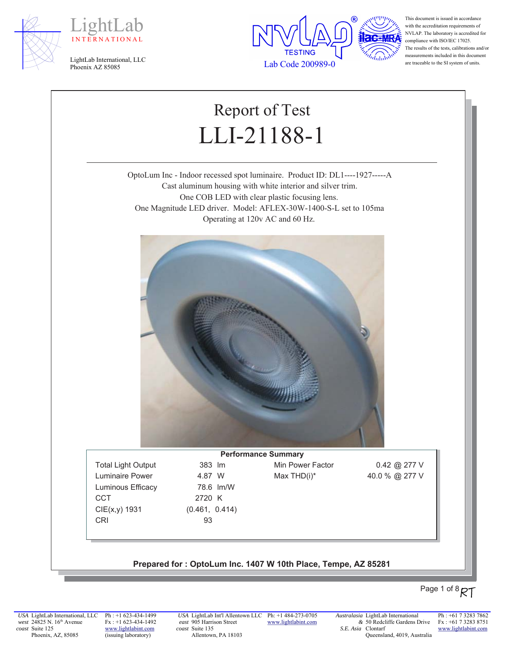





This document is issued in accordance with the accreditation requirements of NVLAP. The laboratory is accredited for compliance with ISO/IEC 17025. The results of the tests, calibrations and/or measurements included in this document are traceable to the SI system of units.

# Report of Test LLI-21188-1

OptoLum Inc - Indoor recessed spot luminaire. Product ID: DL1----1927-----A Cast aluminum housing with white interior and silver trim. One COB LED with clear plastic focusing lens. One Magnitude LED driver. Model: AFLEX-30W-1400-S-L set to 105ma Operating at 120v AC and 60 Hz.



Luminaire Power  $4.87 \,$  W  $\frac{1}{2}$  Max THD(i)\*  $40.0 \, \%$   $277 \,$ V Luminous Efficacy 78.6 lm/W CCT 2720 K  $CIE(x,y)$  1931 (0.461, 0.414) CRI 93

**Performance Summary** Total Light Output 383 Im Min Power Factor 0.42 @ 277 V

#### Prepared for: OptoLum Inc. 1407 W 10th Place, Tempe, AZ 85281

# Page 1 of 8 RT

*USA* LightLab International, LLC *west* 24825 N. 16<sup>th</sup> Avenue *coast* Suite 125 Phoenix, AZ, 85085

Ph : +1 623-434-1499 Fx : +1 623-434-1492 www.lightlabint.com (issuing laboratory)

*USA* LightLab Int'l Allentown LLC Ph: +1 484-273-0705 *east* 905 Harrison Street *coast* Suite 135 Allentown, PA 18103

www.lightlabint.com

*Australasia* LightLab International *&* 50 Redcliffe Gardens Drive *S.E. Asia*  Clontarf Queensland, 4019, Australia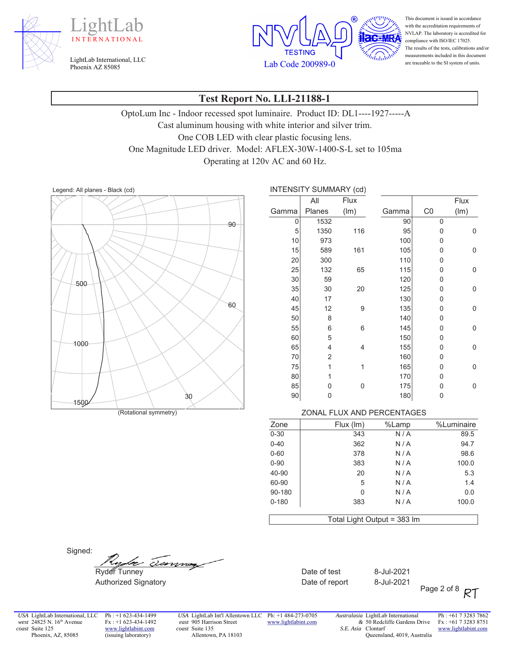





This document is issued in accordance with the accreditation requirements of NVLAP. The laboratory is accredited for compliance with ISO/IEC 17025. The results of the tests, calibrations and/or measurements included in this document are traceable to the SI system of units.

#### **Test Report No. LLI-21188-1**

OptoLum Inc - Indoor recessed spot luminaire. Product ID: DL1----1927-----A Cast aluminum housing with white interior and silver trim. One COB LED with clear plastic focusing lens. One Magnitude LED driver. Model: AFLEX-30W-1400-S-L set to 105ma Operating at 120v AC and 60 Hz.

Legend: All planes - Black (cd) <br> **INTENSITY SUMMARY (cd)** 



|       | INTENSITY SUMMARY (CCI) |             |       |    |      |
|-------|-------------------------|-------------|-------|----|------|
|       | All                     | <b>Flux</b> |       |    | Flux |
| Gamma | Planes                  | (lm)        | Gamma | CO | (lm) |
| 0     | 1532                    |             | 90    | 0  |      |
| 5     | 1350                    | 116         | 95    | 0  | 0    |
| 10    | 973                     |             | 100   | 0  |      |
| 15    | 589                     | 161         | 105   | 0  | 0    |
| 20    | 300                     |             | 110   | 0  |      |
| 25    | 132                     | 65          | 115   | 0  | 0    |
| 30    | 59                      |             | 120   | 0  |      |
| 35    | 30                      | 20          | 125   | 0  | 0    |
| 40    | 17                      |             | 130   | 0  |      |
| 45    | 12                      | 9           | 135   | 0  | 0    |
| 50    | 8                       |             | 140   | 0  |      |
| 55    | 6                       | 6           | 145   | 0  | 0    |
| 60    | 5                       |             | 150   | 0  |      |
| 65    | 4                       | 4           | 155   | 0  | 0    |
| 70    | 2                       |             | 160   | 0  |      |
| 75    | $\overline{1}$          | 1           | 165   | 0  | 0    |
| 80    | 1                       |             | 170   | 0  |      |
| 85    | 0                       | 0           | 175   | 0  | 0    |
| 90    | 0                       |             | 180   | 0  |      |

#### (Rotational symmetry) **Example 2008** 20NAL FLUX AND PERCENTAGES

| %Luminaire | %Lamp                       | Flux (Im) | Zone      |
|------------|-----------------------------|-----------|-----------|
| 89.5       | N/A                         | 343       | $0 - 30$  |
| 94.7       | N/A                         | 362       | $0 - 40$  |
| 98.6       | N/A                         | 378       | $0 - 60$  |
| 100.0      | N/A                         | 383       | $0 - 90$  |
| 5.3        | N/A                         | 20        | 40-90     |
| 1.4        | N/A                         | 5         | 60-90     |
| 0.0        | N/A                         | 0         | 90-180    |
| 100.0      | N/A                         | 383       | $0 - 180$ |
|            |                             |           |           |
|            | Total Light Output = 383 lm |           |           |

Signed:

ammen

Figure 5. September 2021 - The Second Date of test 8-Jul-2021 Authorized Signatory **Contains the Container Section** Date of report and 8-Jul-2021

Page 2 of 8 RT

*USA* LightLab International, LLC *west* 24825 N. 16<sup>th</sup> Avenue *coast* Suite 125 Phoenix, AZ, 85085

Ph : +1 623-434-1499 Fx : +1 623-434-1492 www.lightlabint.com (issuing laboratory)

*USA* LightLab Int'l Allentown LLC Ph: +1 484-273-0705 *east* 905 Harrison Street *coast* Suite 135 Allentown, PA 18103

www.lightlabint.com

*Australasia* LightLab International *&* 50 Redcliffe Gardens Drive *S.E. Asia*  Clontarf Queensland, 4019, Australia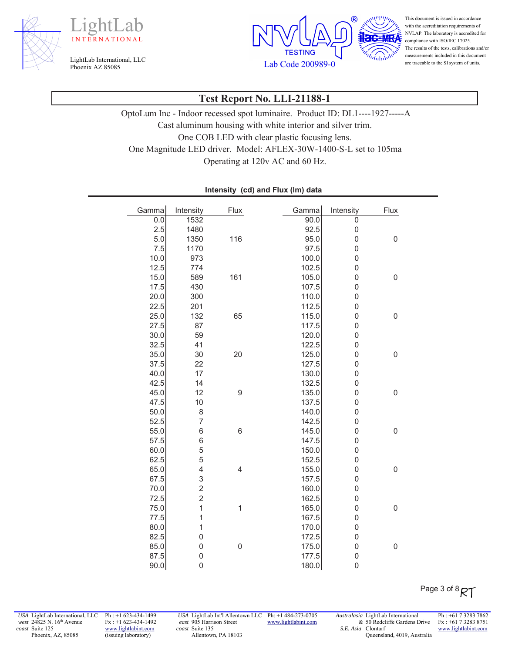





This document is issued in accordance with the accreditation requirements of NVLAP. The laboratory is accredited for compliance with ISO/IEC 17025. The results of the tests, calibrations and/or measurements included in this document are traceable to the SI system of units.

## **Test Report No. LLI-21188-1**

OptoLum Inc - Indoor recessed spot luminaire. Product ID: DL1----1927-----A Cast aluminum housing with white interior and silver trim. One COB LED with clear plastic focusing lens. One Magnitude LED driver. Model: AFLEX-30W-1400-S-L set to 105ma Operating at 120v AC and 60 Hz.

| Gamma | Intensity      | <b>Flux</b>              | Gamma | Intensity        | Flux             |
|-------|----------------|--------------------------|-------|------------------|------------------|
| 0.0   | 1532           |                          | 90.0  | $\overline{0}$   |                  |
| 2.5   | 1480           |                          | 92.5  | $\mathbf 0$      |                  |
| 5.0   | 1350           | 116                      | 95.0  | $\mathbf 0$      | $\boldsymbol{0}$ |
| 7.5   | 1170           |                          | 97.5  | $\overline{0}$   |                  |
| 10.0  | 973            |                          | 100.0 | $\mathbf 0$      |                  |
| 12.5  | 774            |                          | 102.5 | $\mathbf 0$      |                  |
| 15.0  | 589            | 161                      | 105.0 | $\mathbf 0$      | $\mathbf 0$      |
| 17.5  | 430            |                          | 107.5 | $\mathbf 0$      |                  |
| 20.0  | 300            |                          | 110.0 | $\mathbf 0$      |                  |
| 22.5  | 201            |                          | 112.5 | $\mathbf 0$      |                  |
| 25.0  | 132            | 65                       | 115.0 | $\mathbf 0$      | 0                |
| 27.5  | 87             |                          | 117.5 | $\mathbf 0$      |                  |
| 30.0  | 59             |                          | 120.0 | $\mathbf 0$      |                  |
| 32.5  | 41             |                          | 122.5 | $\mathbf 0$      |                  |
| 35.0  | 30             | 20                       | 125.0 | $\mathbf 0$      | $\boldsymbol{0}$ |
| 37.5  | 22             |                          | 127.5 | $\mathbf 0$      |                  |
| 40.0  | 17             |                          | 130.0 | $\mathbf 0$      |                  |
| 42.5  | 14             |                          | 132.5 | $\mathbf 0$      |                  |
| 45.0  | 12             | 9                        | 135.0 | $\mathbf 0$      | $\mathbf 0$      |
| 47.5  | 10             |                          | 137.5 | $\mathbf 0$      |                  |
| 50.0  | 8              |                          | 140.0 | $\mathbf 0$      |                  |
| 52.5  | $\overline{7}$ |                          | 142.5 | $\mathbf 0$      |                  |
| 55.0  | 6              | $\,6$                    | 145.0 | $\mathbf 0$      | $\mathbf 0$      |
| 57.5  | 6              |                          | 147.5 | $\mathbf 0$      |                  |
| 60.0  | 5              |                          | 150.0 | $\mathbf 0$      |                  |
| 62.5  | 5              |                          | 152.5 | $\mathbf 0$      |                  |
| 65.0  | 4              | $\overline{\mathcal{L}}$ | 155.0 | $\mathbf 0$      | $\boldsymbol{0}$ |
| 67.5  | 3              |                          | 157.5 | $\mathbf 0$      |                  |
| 70.0  | $\overline{c}$ |                          | 160.0 | $\mathbf 0$      |                  |
| 72.5  | $\overline{c}$ |                          | 162.5 | $\mathbf 0$      |                  |
| 75.0  | $\overline{1}$ | 1                        | 165.0 | $\mathbf 0$      | $\mathbf 0$      |
| 77.5  | 1              |                          | 167.5 | $\mathbf 0$      |                  |
| 80.0  | $\overline{1}$ |                          | 170.0 | $\boldsymbol{0}$ |                  |
| 82.5  | $\overline{0}$ |                          | 172.5 | $\mathbf 0$      |                  |
| 85.0  | $\overline{0}$ | $\boldsymbol{0}$         | 175.0 | $\mathbf 0$      | $\mathbf 0$      |
| 87.5  | 0              |                          | 177.5 | $\mathbf 0$      |                  |
| 90.0  | $\mathbf 0$    |                          | 180.0 | $\boldsymbol{0}$ |                  |

#### Intensity (cd) and Flux (Im) data

*USA* LightLab International, LLC *west* 24825 N. 16<sup>th</sup> Avenue *coast* Suite 125 Phoenix, AZ, 85085

Ph : +1 623-434-1499 Fx : +1 623-434-1492 www.lightlabint.com (issuing laboratory)

*USA* LightLab Int'l Allentown LLC Ph: +1 484-273-0705 *east* 905 Harrison Street *coast* Suite 135 Allentown, PA 18103

www.lightlabint.com

*Australasia* LightLab International *&* 50 Redcliffe Gardens Drive *S.E. Asia*  Clontarf Queensland, 4019, Australia

Ph : +61 7 3283 7862 Fx : +61 7 3283 8751 www.lightlabint.com

Page 3 of 8 RT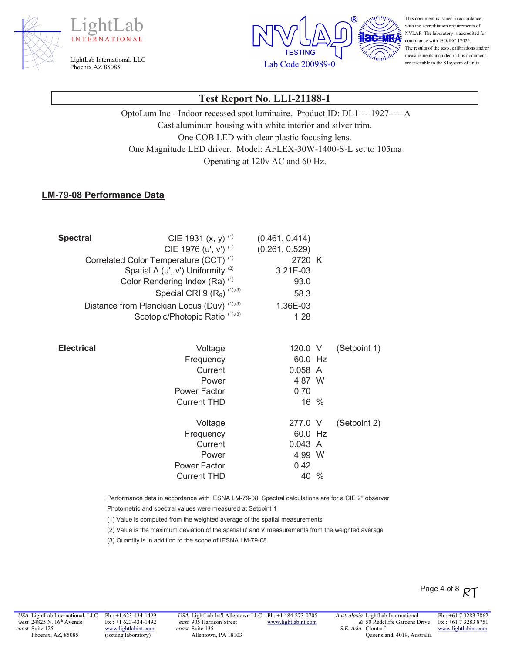





This document is issued in accordance with the accreditation requirements of NVLAP. The laboratory is accredited for compliance with ISO/IEC 17025. The results of the tests, calibrations and/or measurements included in this document are traceable to the SI system of units.

## **Test Report No. LLI-21188-1**

OptoLum Inc - Indoor recessed spot luminaire. Product ID: DL1----1927-----A Cast aluminum housing with white interior and silver trim. One COB LED with clear plastic focusing lens. One Magnitude LED driver. Model: AFLEX-30W-1400-S-L set to 105ma Operating at 120v AC and 60 Hz.

#### **LM-79-08 Performance Data**

| <b>Spectral</b>   | CIE 1931 $(x, y)$ <sup>(1)</sup>                  | (0.461, 0.414) |              |
|-------------------|---------------------------------------------------|----------------|--------------|
|                   | CIE 1976 (u', v') (1)                             | (0.261, 0.529) |              |
|                   | Correlated Color Temperature (CCT) <sup>(1)</sup> | 2720 K         |              |
|                   | Spatial $\Delta$ (u', v') Uniformity (2)          | 3.21E-03       |              |
|                   | Color Rendering Index (Ra) <sup>(1)</sup>         | 93.0           |              |
|                   | Special CRI 9 $(R_9)$ <sup>(1),(3)</sup>          | 58.3           |              |
|                   | Distance from Planckian Locus (Duv) (1),(3)       | 1.36E-03       |              |
|                   | Scotopic/Photopic Ratio (1),(3)                   | 1.28           |              |
|                   |                                                   |                |              |
| <b>Electrical</b> | Voltage                                           | 120.0 V        | (Setpoint 1) |
|                   | Frequency                                         | 60.0 Hz        |              |
|                   | Current                                           | 0.058 A        |              |
|                   | Power                                             | 4.87 W         |              |
|                   | Power Factor                                      | 0.70           |              |
|                   | <b>Current THD</b>                                | 16 %           |              |
|                   | Voltage                                           | 277.0 V        | (Setpoint 2) |
|                   | Frequency                                         | 60.0 Hz        |              |
|                   | Current                                           | 0.043 A        |              |
|                   | Power                                             | 4.99 W         |              |
|                   | <b>Power Factor</b>                               | 0.42           |              |
|                   | <b>Current THD</b>                                | 40 %           |              |

Performance data in accordance with IESNA LM-79-08. Spectral calculations are for a CIE 2° observer

Photometric and spectral values were measured at Setpoint 1

(1) Value is computed from the weighted average of the spatial measurements

(2) Value is the maximum deviation of the spatial u' and v' measurements from the weighted average

(3) Quantity is in addition to the scope of IESNA LM-79-08

Ph : +1 623-434-1499 Fx : +1 623-434-1492 www.lightlabint.com (issuing laboratory)

*USA* LightLab Int'l Allentown LLC Ph: +1 484-273-0705 *east* 905 Harrison Street *coast* Suite 135 Allentown, PA 18103

www.lightlabint.com

*Australasia* LightLab International *&* 50 Redcliffe Gardens Drive *S.E. Asia*  Clontarf Queensland, 4019, Australia

Ph : +61 7 3283 7862 Fx : +61 7 3283 8751 www.lightlabint.com

Page 4 of 8  $RT$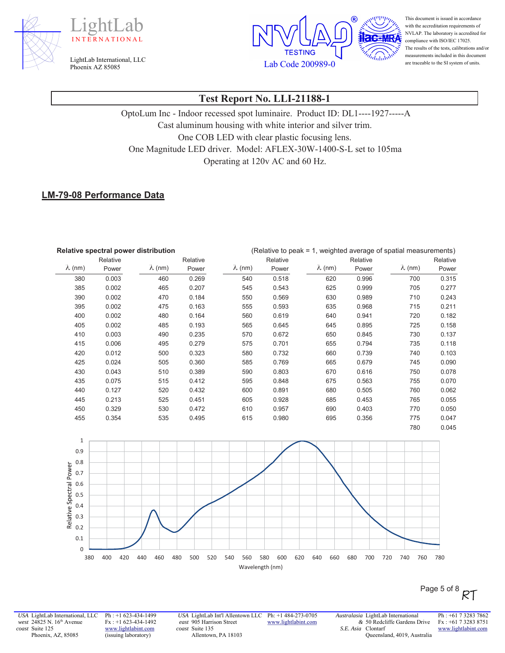





This document is issued in accordance with the accreditation requirements of NVLAP. The laboratory is accredited for compliance with ISO/IEC 17025. The results of the tests, calibrations and/or measurements included in this document are traceable to the SI system of units.

## **Test Report No. LLI-21188-1**

OptoLum Inc - Indoor recessed spot luminaire. Product ID: DL1----1927-----A Cast aluminum housing with white interior and silver trim. One COB LED with clear plastic focusing lens. One Magnitude LED driver. Model: AFLEX-30W-1400-S-L set to 105ma Operating at 120v AC and 60 Hz.

#### **LM-79-08 Performance Data**

| Relative spectral power distribution |          |                |          | (Relative to peak = 1, weighted average of spatial measurements) |          |                |          |                          |          |
|--------------------------------------|----------|----------------|----------|------------------------------------------------------------------|----------|----------------|----------|--------------------------|----------|
|                                      | Relative |                | Relative |                                                                  | Relative |                | Relative |                          | Relative |
| $\lambda$ (nm)                       | Power    | $\lambda$ (nm) | Power    | $\lambda$ (nm)                                                   | Power    | $\lambda$ (nm) | Power    | $\lambda$ (nm)           | Power    |
| 380                                  | 0.003    | 460            | 0.269    | 540                                                              | 0.518    | 620            | 0.996    | 700                      | 0.315    |
| 385                                  | 0.002    | 465            | 0.207    | 545                                                              | 0.543    | 625            | 0.999    | 705                      | 0.277    |
| 390                                  | 0.002    | 470            | 0.184    | 550                                                              | 0.569    | 630            | 0.989    | 710                      | 0.243    |
| 395                                  | 0.002    | 475            | 0.163    | 555                                                              | 0.593    | 635            | 0.968    | 715                      | 0.211    |
| 400                                  | 0.002    | 480            | 0.164    | 560                                                              | 0.619    | 640            | 0.941    | 720                      | 0.182    |
| 405                                  | 0.002    | 485            | 0.193    | 565                                                              | 0.645    | 645            | 0.895    | 725                      | 0.158    |
| 410                                  | 0.003    | 490            | 0.235    | 570                                                              | 0.672    | 650            | 0.845    | 730                      | 0.137    |
| 415                                  | 0.006    | 495            | 0.279    | 575                                                              | 0.701    | 655            | 0.794    | 735                      | 0.118    |
| 420                                  | 0.012    | 500            | 0.323    | 580                                                              | 0.732    | 660            | 0.739    | 740                      | 0.103    |
| 425                                  | 0.024    | 505            | 0.360    | 585                                                              | 0.769    | 665            | 0.679    | 745                      | 0.090    |
| 430                                  | 0.043    | 510            | 0.389    | 590                                                              | 0.803    | 670            | 0.616    | 750                      | 0.078    |
| 435                                  | 0.075    | 515            | 0.412    | 595                                                              | 0.848    | 675            | 0.563    | 755                      | 0.070    |
| 440                                  | 0.127    | 520            | 0.432    | 600                                                              | 0.891    | 680            | 0.505    | 760                      | 0.062    |
| 445                                  | 0.213    | 525            | 0.451    | 605                                                              | 0.928    | 685            | 0.453    | 765                      | 0.055    |
| 450                                  | 0.329    | 530            | 0.472    | 610                                                              | 0.957    | 690            | 0.403    | 770                      | 0.050    |
| 455                                  | 0.354    | 535            | 0.495    | 615                                                              | 0.980    | 695            | 0.356    | 775                      | 0.047    |
|                                      |          |                |          |                                                                  |          |                |          | $\overline{\phantom{a}}$ | 0.01     |



*USA* LightLab International, LLC *west* 24825 N. 16<sup>th</sup> Avenue *coast* Suite 125 Phoenix, AZ, 85085

Ph : +1 623-434-1499 Fx : +1 623-434-1492 www.lightlabint.com (issuing laboratory)

*USA* LightLab Int'l Allentown LLC Ph: +1 484-273-0705 *east* 905 Harrison Street *coast* Suite 135 Allentown, PA 18103

www.lightlabint.com

*Australasia* LightLab International *&* 50 Redcliffe Gardens Drive *S.E. Asia*  Clontarf Queensland, 4019, Australia

Ph : +61 7 3283 7862 Fx : +61 7 3283 8751 www.lightlabint.com

Page 5 of 8  $RT$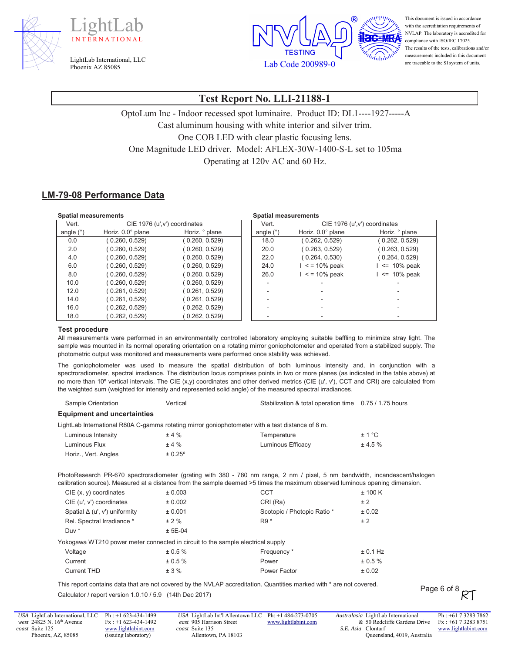





This document is issued in accordance with the accreditation requirements of NVLAP. The laboratory is accredited for compliance with ISO/IEC 17025. The results of the tests, calibrations and/or measurements included in this document are traceable to the SI system of units.

# **Test Report No. LLI-21188-1**

OptoLum Inc - Indoor recessed spot luminaire. Product ID: DL1----1927-----A Cast aluminum housing with white interior and silver trim. One COB LED with clear plastic focusing lens. One Magnitude LED driver. Model: AFLEX-30W-1400-S-L set to 105ma Operating at 120v AC and 60 Hz.

#### **LM-79-08 Performance Data**

| <b>Spatial measurements</b> |                               |                | <b>Spatial measurements</b> |                       |                               |
|-----------------------------|-------------------------------|----------------|-----------------------------|-----------------------|-------------------------------|
| Vert.                       | CIE 1976 (u', v') coordinates |                | Vert.                       |                       | CIE 1976 (u', v') coordinates |
| angle $(°)$                 | Horiz. 0.0° plane             | Horiz. ° plane | angle $(°)$                 | Horiz. 0.0° plane     | Horiz. ° plane                |
| 0.0                         | (0.260, 0.529)                | (0.260, 0.529) | 18.0                        | (0.262, 0.529)        | (0.262, 0.529)                |
| 2.0                         | (0.260, 0.529)                | (0.260, 0.529) | 20.0                        | (0.263, 0.529)        | (0.263, 0.529)                |
| 4.0                         | (0.260, 0.529)                | (0.260, 0.529) | 22.0                        | (0.264, 0.530)        | (0.264, 0.529)                |
| 6.0                         | (0.260, 0.529)                | (0.260, 0.529) | 24.0                        | $\le$ = 10% peak      | $\le$ 10% peak                |
| 8.0                         | (0.260, 0.529)                | (0.260, 0.529) | 26.0                        | $\epsilon$ = 10% peak | $\le$ 10% peak                |
| 10.0                        | (0.260, 0.529)                | (0.260, 0.529) |                             |                       |                               |
| 12.0                        | (0.261, 0.529)                | (0.261, 0.529) |                             |                       |                               |
| 14.0                        | (0.261, 0.529)                | (0.261, 0.529) |                             |                       |                               |
| 16.0                        | (0.262, 0.529)                | (0.262, 0.529) |                             |                       |                               |
| 18.0                        | 0.262, 0.529                  | 0.262, 0.529   |                             |                       |                               |

#### **Test procedure**

All measurements were performed in an environmentally controlled laboratory employing suitable baffling to minimize stray light. The sample was mounted in its normal operating orientation on a rotating mirror goniophotometer and operated from a stabilized supply. The photometric output was monitored and measurements were performed once stability was achieved.

The goniophotometer was used to measure the spatial distribution of both luminous intensity and, in conjunction with a spectroradiometer, spectral irradiance. The distribution locus comprises points in two or more planes (as indicated in the table above) at no more than 10º vertical intervals. The CIE (x,y) coordinates and other derived metrics (CIE (u', v'), CCT and CRI) are calculated from the weighted sum (weighted for intensity and represented solid angle) of the measured spectral irradiances.

Sample Orientation **6DPS** Vertical vertical between the Stabilization & total operation time 0.75 / 1.75 hours

| <b>Equipment and uncertainties</b>                                              |           |                                                                                                                                                                                                                                                             |            |
|---------------------------------------------------------------------------------|-----------|-------------------------------------------------------------------------------------------------------------------------------------------------------------------------------------------------------------------------------------------------------------|------------|
|                                                                                 |           | LightLab International R80A C-gamma rotating mirror goniophotometer with a test distance of 8 m.                                                                                                                                                            |            |
| Luminous Intensity                                                              | ±4%       | Temperature                                                                                                                                                                                                                                                 | ± 1 °C     |
| Luminous Flux                                                                   | ±4%       | Luminous Efficacy                                                                                                                                                                                                                                           | ± 4.5%     |
| Horiz., Vert. Angles                                                            | ± 0.25°   |                                                                                                                                                                                                                                                             |            |
|                                                                                 |           | PhotoResearch PR-670 spectroradiometer (grating with 380 - 780 nm range, 2 nm / pixel, 5 nm bandwidth, incandescent/halogen<br>calibration source). Measured at a distance from the sample deemed >5 times the maximum observed luminous opening dimension. |            |
| $CIE$ (x, y) coordinates                                                        | ± 0.003   | <b>CCT</b>                                                                                                                                                                                                                                                  | ± 100 K    |
| CIE (u', v') coordinates                                                        | ± 0.002   | CRI (Ra)                                                                                                                                                                                                                                                    | ± 2        |
| Spatial $\Delta$ (u', v') uniformity                                            | ± 0.001   | Scotopic / Photopic Ratio *                                                                                                                                                                                                                                 | ± 0.02     |
| Rel. Spectral Irradiance *                                                      | ± 2%      | $R9*$                                                                                                                                                                                                                                                       | ± 2        |
| Duv *                                                                           | $± 5E-04$ |                                                                                                                                                                                                                                                             |            |
| Yokogawa WT210 power meter connected in circuit to the sample electrical supply |           |                                                                                                                                                                                                                                                             |            |
| Voltage                                                                         | ± 0.5 %   | Frequency *                                                                                                                                                                                                                                                 | $± 0.1$ Hz |
| Current                                                                         | ± 0.5 %   | Power                                                                                                                                                                                                                                                       | $± 0.5 \%$ |
| <b>Current THD</b>                                                              | ± 3%      | Power Factor                                                                                                                                                                                                                                                | ± 0.02     |

This report contains data that are not covered by the NVLAP accreditation. Quantities marked with \* are not covered. Calculator / report version 1.0.10 / 5.9 (14th Dec 2017)

*USA* LightLab International, LLC *west* 24825 N. 16<sup>th</sup> Avenue *coast* Suite 125 Phoenix, AZ, 85085

Ph : +1 623-434-1499 Fx : +1 623-434-1492 www.lightlabint.com (issuing laboratory)

*USA* LightLab Int'l Allentown LLC Ph: +1 484-273-0705 *east* 905 Harrison Street *coast* Suite 135 Allentown, PA 18103 www.lightlabint.com *Australasia* LightLab International *&* 50 Redcliffe Gardens Drive *S.E. Asia*  Clontarf Queensland, 4019, Australia

Page 6 of 8  $R$ T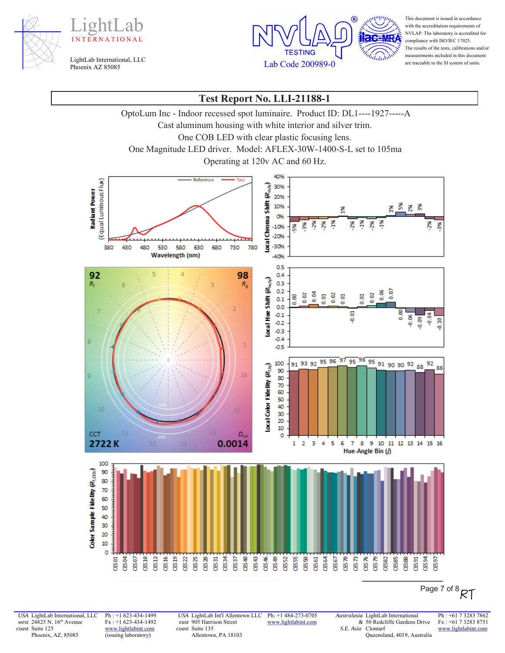





This document is issued in accordance with the accreditation requirements of NVLAP. The laboratory is accredited for compliance with ISO/IEC 17025. The results of the tests, calibrations and/or measurements included in this document are traceable to the SI system of units.

# **Test Report No. LLI-21188-1**

OptoLum Inc - Indoor recessed spot luminaire. Product ID: DL1----1927-----A

Cast aluminum housing with white interior and silver trim.

One COB LED with clear plastic focusing lens.

One Magnitude LED driver. Model: AFLEX-30W-1400-S-L set to 105ma

Operating at 120v AC and 60 Hz.



Page 7 of 8 RT

*USA* LightLab International, LLC *west* 24825 N. 16<sup>th</sup> Avenue *coast* Suite 125 Phoenix, AZ, 85085

Ph : +1 623-434-1499 Fx : +1 623-434-1492 www.lightlabint.com (issuing laboratory)

*USA* LightLab Int'l Allentown LLC *east* 905 Harrison Street *coast* Suite 135 Allentown, PA 18103

Ph: +1 484-273-0705 www.lightlabint.com

*&* 50 Redcliffe Gardens Drive *S.E. Asia*  Clontarf Queensland, 4019, Australia

*Australasia* LightLab International